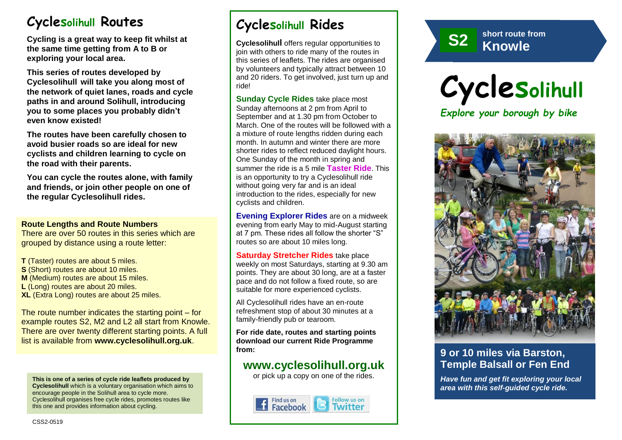# **Cyclesolihull Routes**

**Cycling is a great way to keep fit whilst at the same time getting from A to B or exploring your local area.** 

**This series of routes developed by Cyclesolihull will take you along most of the network of quiet lanes, roads and cycle paths in and around Solihull, introducing you to some places you probably didn't even know existed!**

**The routes have been carefully chosen to avoid busier roads so are ideal for new cyclists and children learning to cycle on the road with their parents.** 

**You can cycle the routes alone, with family and friends, or join other people on one of the regular Cyclesolihull rides.**

#### **Route Lengths and Route Numbers**

There are over 50 routes in this series which are grouped by distance using a route letter:

**T** (Taster) routes are about 5 miles. **S** (Short) routes are about 10 miles. **M** (Medium) routes are about 15 miles. **L** (Long) routes are about 20 miles. **XL** (Extra Long) routes are about 25 miles.

The route number indicates the starting point – for example routes S2, M2 and L2 all start from Knowle. There are over twenty different starting points. A full list is available from **www.cyclesolihull.org.uk**.

**This is one of a series of cycle ride leaflets produced by Cyclesolihull** which is a voluntary organisation which aims to encourage people in the Solihull area to cycle more. Cyclesolihull organises free cycle rides, promotes routes like this one and provides information about cycling.

# **Cyclesolihull Rides**

**Cyclesolihull** offers regular opportunities to join with others to ride many of the routes in this series of leaflets. The rides are organised by volunteers and typically attract between 10 and 20 riders. To get involved, just turn up and ride!

**Sunday Cycle Rides** take place most Sunday afternoons at 2 pm from April to September and at 1.30 pm from October to March. One of the routes will be followed with a a mixture of route lengths ridden during each month. In autumn and winter there are more shorter rides to reflect reduced daylight hours. One Sunday of the month in spring and summer the ride is a 5 mile **Taster Ride**. This is an opportunity to try a Cyclesolihull ride without going very far and is an ideal introduction to the rides, especially for new cyclists and children.

**Evening Explorer Rides** are on a midweek evening from early May to mid-August starting at 7 pm. These rides all follow the shorter "S" routes so are about 10 miles long.

**Saturday Stretcher Rides** take place weekly on most Saturdays, starting at 9.30 am points. They are about 30 long, are at a faster pace and do not follow a fixed route, so are suitable for more experienced cyclists.

All Cyclesolihull rides have an en-route refreshment stop of about 30 minutes at a family-friendly pub or tearoom.

**For ride date, routes and starting points download our current Ride Programme from:** 

## **www.cyclesolihull.org.uk**

or pick up a copy on one of the rides.









### **9 or 10 miles via Barston, Temple Balsall or Fen End**

*Have fun and get fit exploring your local area with this self-guided cycle ride.*